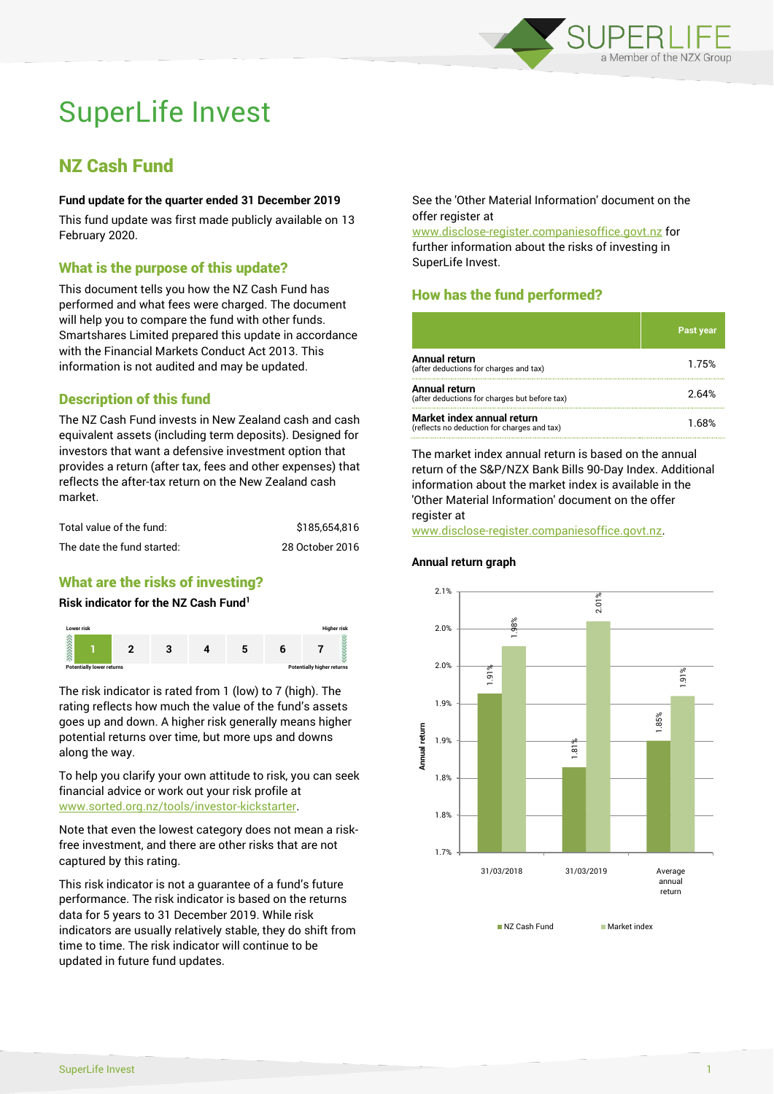

# SuperLife Invest

## NZ Cash Fund

#### **Fund update for the quarter ended 31 December 2019**

This fund update was first made publicly available on 13 February 2020.

#### What is the purpose of this update?

This document tells you how the NZ Cash Fund has performed and what fees were charged. The document will help you to compare the fund with other funds. Smartshares Limited prepared this update in accordance with the Financial Markets Conduct Act 2013. This information is not audited and may be updated.

#### Description of this fund

The NZ Cash Fund invests in New Zealand cash and cash equivalent assets (including term deposits). Designed for investors that want a defensive investment option that provides a return (after tax, fees and other expenses) that reflects the after-tax return on the New Zealand cash market.

| Total value of the fund:   | \$185,654.816   |
|----------------------------|-----------------|
| The date the fund started: | 28 October 2016 |

#### What are the risks of investing?

#### **Risk indicator for the NZ Cash Fund<sup>1</sup>**



The risk indicator is rated from 1 (low) to 7 (high). The rating reflects how much the value of the fund's assets goes up and down. A higher risk generally means higher potential returns over time, but more ups and downs along the way.

To help you clarify your own attitude to risk, you can seek financial advice or work out your risk profile at [www.sorted.org.nz/tools/investor-kickstarter.](http://www.sorted.org.nz/tools/investor-kickstarter)

Note that even the lowest category does not mean a riskfree investment, and there are other risks that are not captured by this rating.

This risk indicator is not a guarantee of a fund's future performance. The risk indicator is based on the returns data for 5 years to 31 December 2019. While risk indicators are usually relatively stable, they do shift from time to time. The risk indicator will continue to be updated in future fund updates.

See the 'Other Material Information' document on the offer register at

www.disclose-register.companiesoffice.govt.nz for further information about the risks of investing in SuperLife Invest.

### How has the fund performed?

|                                                                           | <b>Past year</b> |
|---------------------------------------------------------------------------|------------------|
| Annual return<br>(after deductions for charges and tax)                   | 1.75%            |
| Annual return<br>(after deductions for charges but before tax)            | 2.64%            |
| Market index annual return<br>(reflects no deduction for charges and tax) | 1 68%            |

The market index annual return is based on the annual return of the S&P/NZX Bank Bills 90-Day Index. Additional information about the market index is available in the 'Other Material Information' document on the offer register at

www.disclose-register.companiesoffice.govt.nz.

#### **Annual return graph**



NZ Cash Fund Market index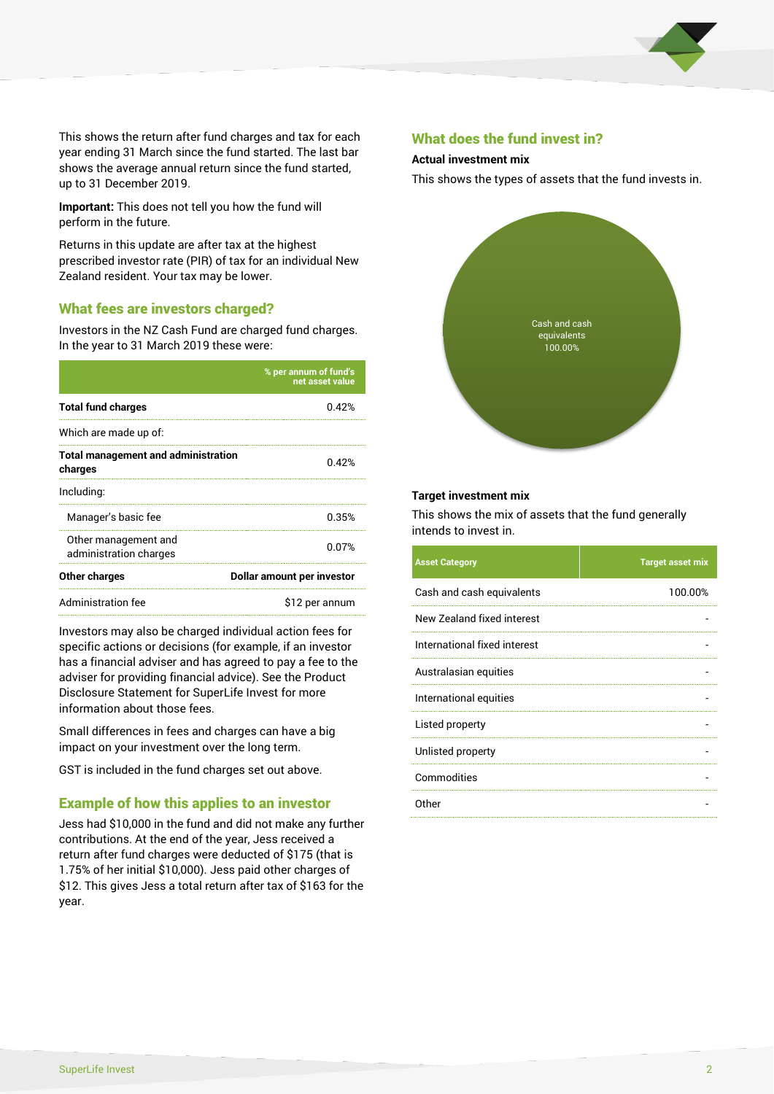

This shows the return after fund charges and tax for each year ending 31 March since the fund started. The last bar shows the average annual return since the fund started, up to 31 December 2019.

**Important:** This does not tell you how the fund will perform in the future.

Returns in this update are after tax at the highest prescribed investor rate (PIR) of tax for an individual New Zealand resident. Your tax may be lower.

#### What fees are investors charged?

Investors in the NZ Cash Fund are charged fund charges. In the year to 31 March 2019 these were:

|                                                       | % per annum of fund's<br>net asset value |  |
|-------------------------------------------------------|------------------------------------------|--|
| <b>Total fund charges</b>                             | በ 42%                                    |  |
| Which are made up of:                                 |                                          |  |
| <b>Total management and administration</b><br>charges | በ 42%                                    |  |
| Including:                                            |                                          |  |
| Manager's basic fee                                   | 0.35%                                    |  |
| Other management and<br>administration charges        | 0.07%                                    |  |
| Other charges                                         | Dollar amount per investor               |  |
| Administration fee                                    | \$12 per annum                           |  |

Investors may also be charged individual action fees for specific actions or decisions (for example, if an investor has a financial adviser and has agreed to pay a fee to the adviser for providing financial advice). See the Product Disclosure Statement for SuperLife Invest for more information about those fees.

Small differences in fees and charges can have a big impact on your investment over the long term.

GST is included in the fund charges set out above.

#### Example of how this applies to an investor

Jess had \$10,000 in the fund and did not make any further contributions. At the end of the year, Jess received a return after fund charges were deducted of \$175 (that is 1.75% of her initial \$10,000). Jess paid other charges of \$12. This gives Jess a total return after tax of \$163 for the year.

#### What does the fund invest in?

#### **Actual investment mix**

This shows the types of assets that the fund invests in.



#### **Target investment mix**

This shows the mix of assets that the fund generally intends to invest in.

| <b>Asset Category</b>        | <b>Target asset mix</b> |
|------------------------------|-------------------------|
| Cash and cash equivalents    | 100.00%                 |
| New Zealand fixed interest   |                         |
| International fixed interest |                         |
| Australasian equities        |                         |
| International equities       |                         |
| Listed property              |                         |
| Unlisted property            |                         |
| Commodities                  |                         |
| Other                        |                         |